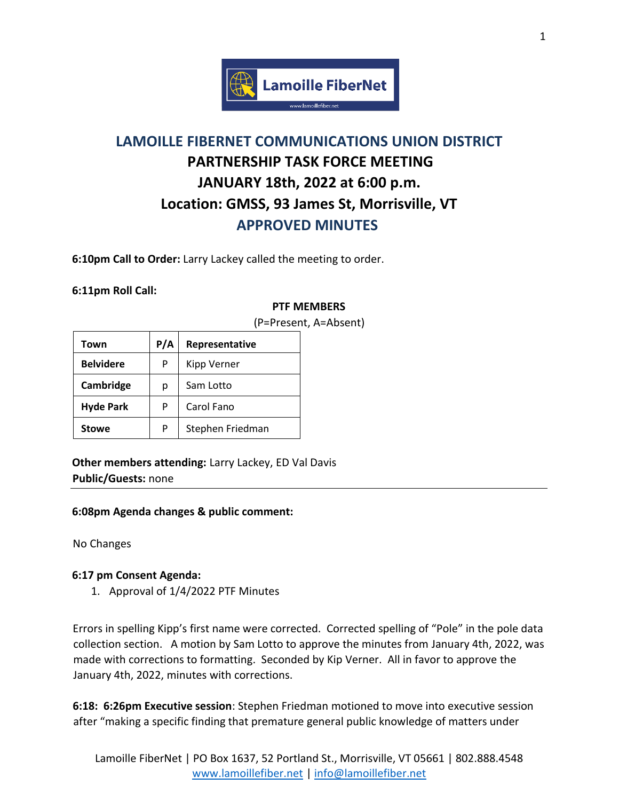

# **LAMOILLE FIBERNET COMMUNICATIONS UNION DISTRICT PARTNERSHIP TASK FORCE MEETING JANUARY 18th, 2022 at 6:00 p.m. Location: GMSS, 93 James St, Morrisville, VT APPROVED MINUTES**

**6:10pm Call to Order:** Larry Lackey called the meeting to order.

## **6:11pm Roll Call:**

## **PTF MEMBERS**

| Town             | P/A | Representative   |
|------------------|-----|------------------|
| <b>Belvidere</b> | P   | Kipp Verner      |
| Cambridge        | р   | Sam Lotto        |
| <b>Hyde Park</b> | P   | Carol Fano       |
| <b>Stowe</b>     | P   | Stephen Friedman |

(P=Present, A=Absent)

**Other members attending:** Larry Lackey, ED Val Davis **Public/Guests:** none

#### **6:08pm Agenda changes & public comment:**

No Changes

## **6:17 pm Consent Agenda:**

1. Approval of 1/4/2022 PTF Minutes

Errors in spelling Kipp's first name were corrected. Corrected spelling of "Pole" in the pole data collection section. A motion by Sam Lotto to approve the minutes from January 4th, 2022, was made with corrections to formatting. Seconded by Kip Verner. All in favor to approve the January 4th, 2022, minutes with corrections.

**6:18: 6:26pm Executive session**: Stephen Friedman motioned to move into executive session after "making a specific finding that premature general public knowledge of matters under